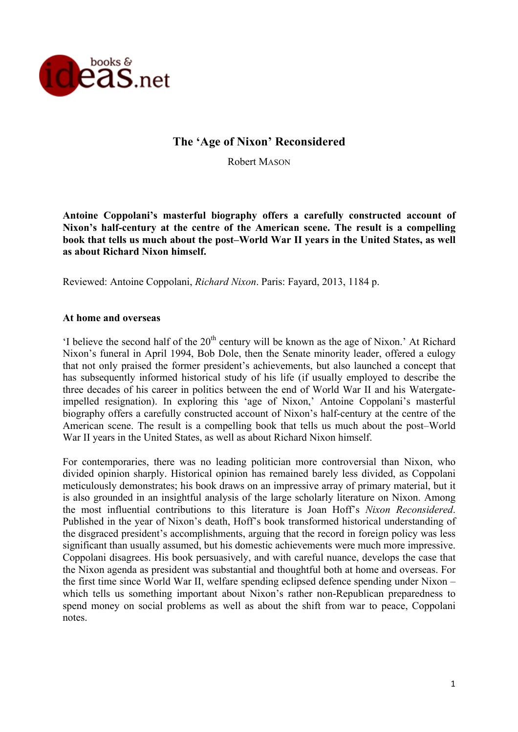

# **The 'Age of Nixon' Reconsidered**

Robert MASON

**Antoine Coppolani's masterful biography offers a carefully constructed account of Nixon's half-century at the centre of the American scene. The result is a compelling book that tells us much about the post–World War II years in the United States, as well as about Richard Nixon himself.** 

Reviewed: Antoine Coppolani, *Richard Nixon*. Paris: Fayard, 2013, 1184 p.

### **At home and overseas**

'I believe the second half of the  $20<sup>th</sup>$  century will be known as the age of Nixon.' At Richard Nixon's funeral in April 1994, Bob Dole, then the Senate minority leader, offered a eulogy that not only praised the former president's achievements, but also launched a concept that has subsequently informed historical study of his life (if usually employed to describe the three decades of his career in politics between the end of World War II and his Watergateimpelled resignation). In exploring this 'age of Nixon,' Antoine Coppolani's masterful biography offers a carefully constructed account of Nixon's half-century at the centre of the American scene. The result is a compelling book that tells us much about the post–World War II years in the United States, as well as about Richard Nixon himself.

For contemporaries, there was no leading politician more controversial than Nixon, who divided opinion sharply. Historical opinion has remained barely less divided, as Coppolani meticulously demonstrates; his book draws on an impressive array of primary material, but it is also grounded in an insightful analysis of the large scholarly literature on Nixon. Among the most influential contributions to this literature is Joan Hoff's *Nixon Reconsidered*. Published in the year of Nixon's death, Hoff's book transformed historical understanding of the disgraced president's accomplishments, arguing that the record in foreign policy was less significant than usually assumed, but his domestic achievements were much more impressive. Coppolani disagrees. His book persuasively, and with careful nuance, develops the case that the Nixon agenda as president was substantial and thoughtful both at home and overseas. For the first time since World War II, welfare spending eclipsed defence spending under Nixon – which tells us something important about Nixon's rather non-Republican preparedness to spend money on social problems as well as about the shift from war to peace, Coppolani notes.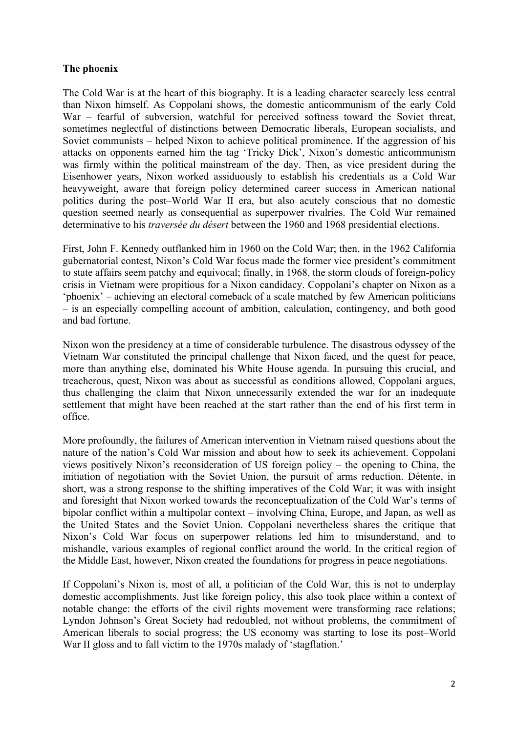## **The phoenix**

The Cold War is at the heart of this biography. It is a leading character scarcely less central than Nixon himself. As Coppolani shows, the domestic anticommunism of the early Cold War – fearful of subversion, watchful for perceived softness toward the Soviet threat, sometimes neglectful of distinctions between Democratic liberals, European socialists, and Soviet communists – helped Nixon to achieve political prominence. If the aggression of his attacks on opponents earned him the tag 'Tricky Dick', Nixon's domestic anticommunism was firmly within the political mainstream of the day. Then, as vice president during the Eisenhower years, Nixon worked assiduously to establish his credentials as a Cold War heavyweight, aware that foreign policy determined career success in American national politics during the post–World War II era, but also acutely conscious that no domestic question seemed nearly as consequential as superpower rivalries. The Cold War remained determinative to his *traversée du désert* between the 1960 and 1968 presidential elections.

First, John F. Kennedy outflanked him in 1960 on the Cold War; then, in the 1962 California gubernatorial contest, Nixon's Cold War focus made the former vice president's commitment to state affairs seem patchy and equivocal; finally, in 1968, the storm clouds of foreign-policy crisis in Vietnam were propitious for a Nixon candidacy. Coppolani's chapter on Nixon as a 'phoenix' – achieving an electoral comeback of a scale matched by few American politicians – is an especially compelling account of ambition, calculation, contingency, and both good and bad fortune.

Nixon won the presidency at a time of considerable turbulence. The disastrous odyssey of the Vietnam War constituted the principal challenge that Nixon faced, and the quest for peace, more than anything else, dominated his White House agenda. In pursuing this crucial, and treacherous, quest, Nixon was about as successful as conditions allowed, Coppolani argues, thus challenging the claim that Nixon unnecessarily extended the war for an inadequate settlement that might have been reached at the start rather than the end of his first term in office.

More profoundly, the failures of American intervention in Vietnam raised questions about the nature of the nation's Cold War mission and about how to seek its achievement. Coppolani views positively Nixon's reconsideration of US foreign policy – the opening to China, the initiation of negotiation with the Soviet Union, the pursuit of arms reduction. Détente, in short, was a strong response to the shifting imperatives of the Cold War; it was with insight and foresight that Nixon worked towards the reconceptualization of the Cold War's terms of bipolar conflict within a multipolar context – involving China, Europe, and Japan, as well as the United States and the Soviet Union. Coppolani nevertheless shares the critique that Nixon's Cold War focus on superpower relations led him to misunderstand, and to mishandle, various examples of regional conflict around the world. In the critical region of the Middle East, however, Nixon created the foundations for progress in peace negotiations.

If Coppolani's Nixon is, most of all, a politician of the Cold War, this is not to underplay domestic accomplishments. Just like foreign policy, this also took place within a context of notable change: the efforts of the civil rights movement were transforming race relations; Lyndon Johnson's Great Society had redoubled, not without problems, the commitment of American liberals to social progress; the US economy was starting to lose its post–World War II gloss and to fall victim to the 1970s malady of 'stagflation.'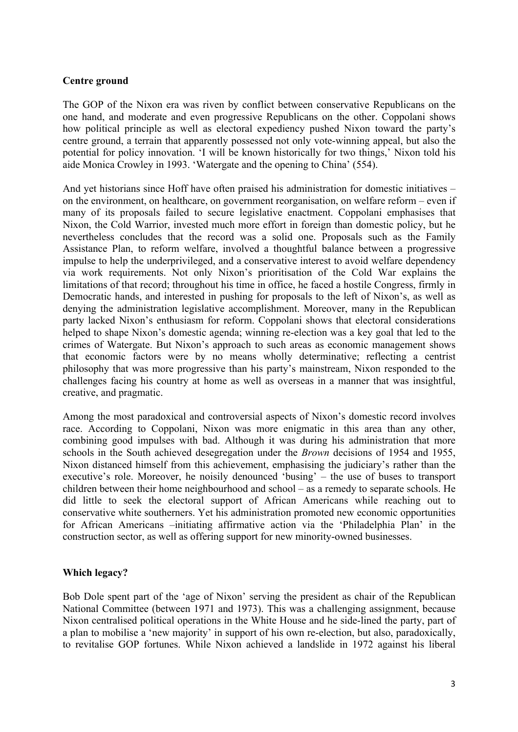## **Centre ground**

The GOP of the Nixon era was riven by conflict between conservative Republicans on the one hand, and moderate and even progressive Republicans on the other. Coppolani shows how political principle as well as electoral expediency pushed Nixon toward the party's centre ground, a terrain that apparently possessed not only vote-winning appeal, but also the potential for policy innovation. 'I will be known historically for two things,' Nixon told his aide Monica Crowley in 1993. 'Watergate and the opening to China' (554).

And yet historians since Hoff have often praised his administration for domestic initiatives – on the environment, on healthcare, on government reorganisation, on welfare reform – even if many of its proposals failed to secure legislative enactment. Coppolani emphasises that Nixon, the Cold Warrior, invested much more effort in foreign than domestic policy, but he nevertheless concludes that the record was a solid one. Proposals such as the Family Assistance Plan, to reform welfare, involved a thoughtful balance between a progressive impulse to help the underprivileged, and a conservative interest to avoid welfare dependency via work requirements. Not only Nixon's prioritisation of the Cold War explains the limitations of that record; throughout his time in office, he faced a hostile Congress, firmly in Democratic hands, and interested in pushing for proposals to the left of Nixon's, as well as denying the administration legislative accomplishment. Moreover, many in the Republican party lacked Nixon's enthusiasm for reform. Coppolani shows that electoral considerations helped to shape Nixon's domestic agenda; winning re-election was a key goal that led to the crimes of Watergate. But Nixon's approach to such areas as economic management shows that economic factors were by no means wholly determinative; reflecting a centrist philosophy that was more progressive than his party's mainstream, Nixon responded to the challenges facing his country at home as well as overseas in a manner that was insightful, creative, and pragmatic.

Among the most paradoxical and controversial aspects of Nixon's domestic record involves race. According to Coppolani, Nixon was more enigmatic in this area than any other, combining good impulses with bad. Although it was during his administration that more schools in the South achieved desegregation under the *Brown* decisions of 1954 and 1955, Nixon distanced himself from this achievement, emphasising the judiciary's rather than the executive's role. Moreover, he noisily denounced 'busing' – the use of buses to transport children between their home neighbourhood and school – as a remedy to separate schools. He did little to seek the electoral support of African Americans while reaching out to conservative white southerners. Yet his administration promoted new economic opportunities for African Americans –initiating affirmative action via the 'Philadelphia Plan' in the construction sector, as well as offering support for new minority-owned businesses.

# **Which legacy?**

Bob Dole spent part of the 'age of Nixon' serving the president as chair of the Republican National Committee (between 1971 and 1973). This was a challenging assignment, because Nixon centralised political operations in the White House and he side-lined the party, part of a plan to mobilise a 'new majority' in support of his own re-election, but also, paradoxically, to revitalise GOP fortunes. While Nixon achieved a landslide in 1972 against his liberal